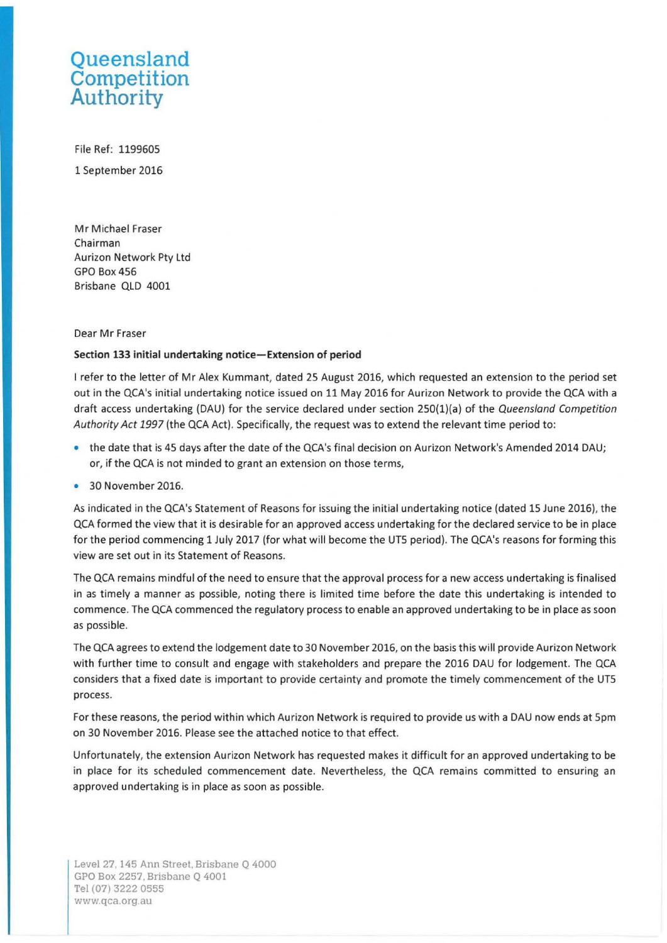## **Queensland Competition Authority**

File Ref: 1199605 1 September 2016

Mr Michael Fraser Chairman Aurizon Network Pty Ltd GPO Box456 Brisbane QLD 4001

## Dear Mr Fraser

## **Section 133 initial undertaking notice-Extension of period**

I refer to the letter of Mr Alex Kummant, dated 25 August 2016, which requested an extension to the period set out in the QCA's initial undertaking notice issued on 11 May 2016 for Aurizon Network to provide the QCA with a draft access undertaking (DAU) for the service declared under section 250(1)(a) of the Queensland Competition Authority Act 1997 (the QCA Act). Specifically, the request was to extend the relevant time period to:

- the date that is 45 days after the date of the QCA's final decision on Aurizon Network's Amended 2014 DAU; or, if the QCA is not minded to grant an extension on those terms,
- 30 November 2016.

As indicated in the QCA's Statement of Reasons for issuing the initial undertaking notice (dated 15 June 2016), the QCA formed the view that it is desirable for an approved access undertaking for the declared service to be in place for the period commencing 1 July 2017 (for what will become the UT5 period). The QCA's reasons for forming this view are set out in its Statement of Reasons.

The QCA remains mindful of the need to ensure that the approval process for a new access undertaking is finalised in as timely a manner as possible, noting there is limited time before the date this undertaking is intended to commence. The QCA commenced the regulatory process to enable an approved undertaking to be in place as soon as possible.

The QCA agrees to extend the lodgement date to 30 November 2016, on the basis this will provide Aurizon Network with further time to consult and engage with stakeholders and prepare the 2016 DAU for lodgement. The QCA considers that a fixed date is important to provide certainty and promote the timely commencement of the UT5 process.

For these reasons, the period within which Aurizon Network is required to provide us with a DAU now ends at 5pm on 30 November 2016. Please see the attached notice to that effect.

Unfortunately, the extension Aurizon Network has requested makes it difficult for an approved undertaking to be in place for its scheduled commencement date. Nevertheless, the QCA remains committed to ensuring an approved undertaking is in place as soon as possible.

Level 27, 145 Ann Street. Brisbane Q 4000 GPO Box 2257, Brisbane Q 4001 Tel (07) 3222 0555 www.qca.org.au